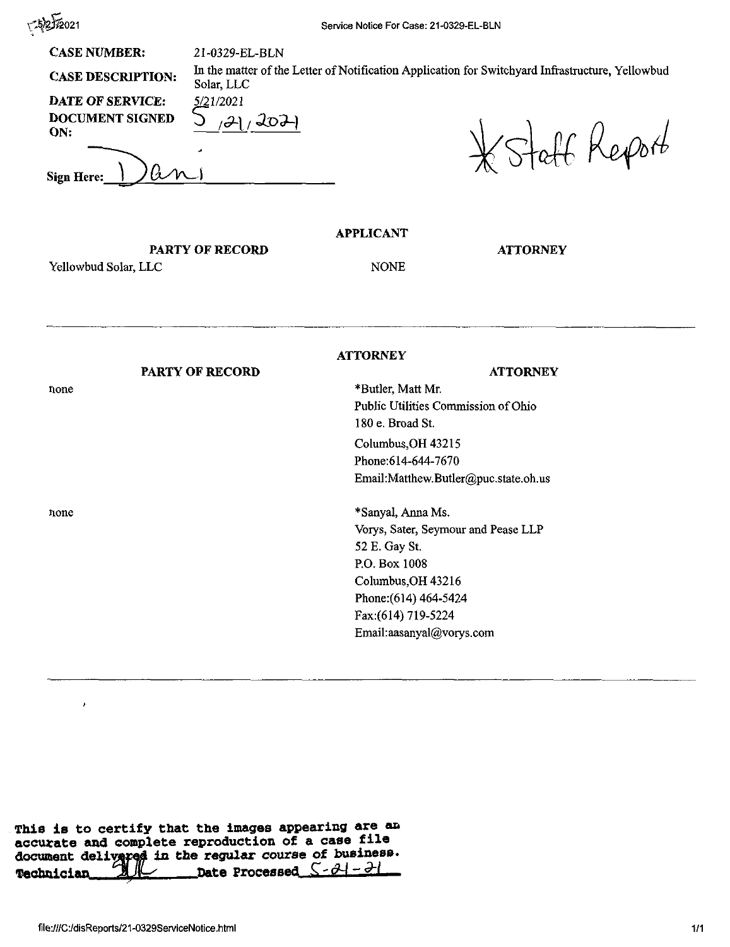525/2021

**CASE NUMBER:** 21-0329-EL-BLN

DATE OF SERVICE: 5/21/2021 *DATE OF SERVICE:* 5/2<br>DOCUMENT SIGNED *ON: ------'—--------- -*

*Sign Here: \*

**CASE DESCRIPTION:** In the matter of the Letter of Notification Application for Switchyard Infrastructure, Yellowbud Solar, LLC

Staff Report

**ATTORNEY**

## **APPLICANT**

## PARTY OF RECORD

Yellowbud Solar, LLC

## NONE

## **PARTY OF RECORD** none **ATTORNEY ATTORNEY** \*Butler, Matt Mr. Public Utilities Commission of Ohio 180 e. Broad St. Columbus,OH 43215 Phone:614-644-7670 Email:Matthew.Butler@puc.state.oh.us none \*Sanyal, Anna Ms. Vorys, Sater, Seymour and Pease LLP 52 E. Gay St. P.O. Box 1008 Columbus,OH 43216 Phone:(614) 464-5424 Fax:(614) 719-5224 Email:aasanyal@vorys.com

This is to certify that the images appearing are an accurate and complete reproduction of <sup>a</sup> case file document delivared in the regular course of business.<br>Technician and the Processed  $S - \partial I - \partial I$ **Date** Processed <u>S-24-21</u>